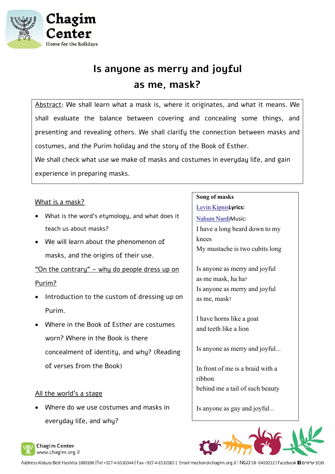

# **Is anyone as merry and joyful as me, mask?**

Abstract: We shall learn what a mask is, where it originates, and what it means. We shall evaluate the balance between covering and concealing some things, and presenting and revealing others. We shall clarify the connection between masks and costumes, and the Purim holiday and the story of the Book of Esther.

We shall check what use we make of masks and costumes in everyday life, and gain experience in preparing masks.

#### What is a mask?

- What is the word's etymology, and what does it teach us about masks?
- We will learn about the phenomenon of masks, and the origins of their use.

### "On the contrary" – why do people dress up on

#### Purim?

- Introduction to the custom of dressing up on Purim.
- Where in the Book of Esther are costumes worn? Where in the Book is there concealment of identity, and why? (Reading of verses from the Book)

#### All the world's a stage

 Where do we use costumes and masks in everyday life, and why?

#### **Song of masks**

Levin Kipnis**Lyrics:**

Nahum NardiMusic:

I have a long beard down to my knees My mustache is two cubits long

Is anyone as merry and joyful as me mask, ha ha? Is anyone as merry and joyful as me, mask?

I have horns like a goat and teeth like a lion

Is anyone as merry and joyful...

In front of me is a braid with a ribbon behind me a tail of such beauty

Is anyone as gay and joyful...



 $\overline{a}$ 

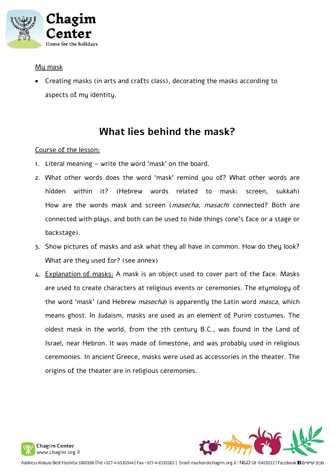

#### Mu mask

 Creating masks (in arts and crafts class), decorating the masks according to aspects of my identity.

### **What lies behind the mask?**

#### Course of the lesson:

- 1. Literal meaning write the word 'mask' on the board.
- 2. What other words does the word 'mask' remind you of? What other words are hidden within it? (Hebrew words related to mask: screen, sukkah) How are the words mask and screen (*masecha*, *masach*) connected? Both are connected with plays, and both can be used to hide things (one's face or a stage or backstage).
- 3. Show pictures of masks and ask what they all have in common. How do they look? What are they used for? (see annex)
- 4. Explanation of masks: A mask is an object used to cover part of the face. Masks are used to create characters at religious events or ceremonies. The etymology of the word 'mask' (and Hebrew *masecha*) is apparently the Latin word *masca*, which means ghost. In Judaism, masks are used as an element of Purim costumes. The oldest mask in the world, from the 7th century B.C., was found in the Land of Israel, near Hebron. It was made of limestone, and was probably used in religious ceremonies. In ancient Greece, masks were used as accessories in the theater. The origins of the theater are in religious ceremonies.



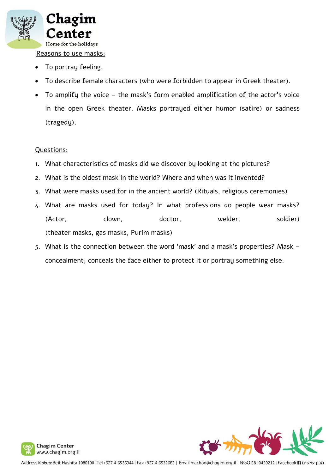

- To portray feeling.
- To describe female characters (who were forbidden to appear in Greek theater).
- To amplify the voice the mask's form enabled amplification of the actor's voice in the open Greek theater. Masks portrayed either humor (satire) or sadness (tragedy).

- 1. What characteristics of masks did we discover by looking at the pictures?
- 2. What is the oldest mask in the world? Where and when was it invented?
- 3. What were masks used for in the ancient world? (Rituals, religious ceremonies)
- 4. What are masks used for today? In what professions do people wear masks? (Actor, clown, doctor, welder, soldier) (theater masks, gas masks, Purim masks)
- 5. What is the connection between the word 'mask' and a mask's properties? Mask concealment; conceals the face either to protect it or portray something else.



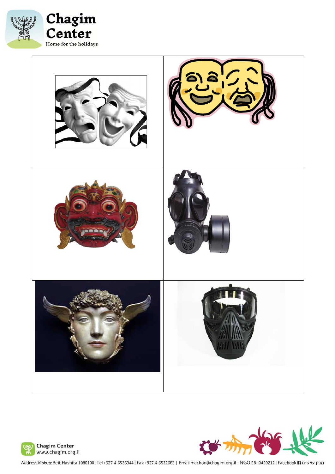





Address Kibbutz Beit Hashita 1080100 |Tel +927-4-6536344 | Fax +927-4-6532683 | Email machon@chagim.org.il | NGO 58-0459212 | Facebook | actps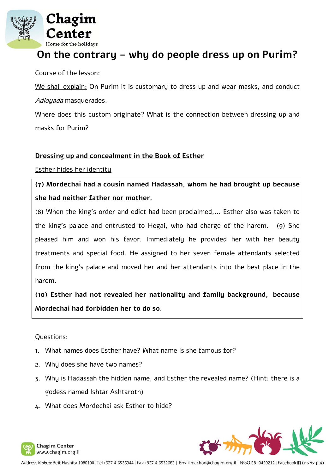

### **On the contrary – why do people dress up on Purim?**

#### Course of the lesson:

We shall explain: On Purim it is customary to dress up and wear masks, and conduct Adloyada masquerades.

Where does this custom originate? What is the connection between dressing up and masks for Purim?

### **Dressing up and concealment in the Book of Esther**

Esther hides her identity

**(7) Mordechai had a cousin named Hadassah, whom he had brought up because she had neither father nor mother.** 

(8) When the king's order and edict had been proclaimed,... Esther also was taken to the king's palace and entrusted to Hegai, who had charge of the harem. (9) She pleased him and won his favor. Immediately he provided her with her beauty treatments and special food. He assigned to her seven female attendants selected from the king's palace and moved her and her attendants into the best place in the harem.

**(10) Esther had not revealed her nationality and family background, because Mordechai had forbidden her to do so.** 

- 1. What names does Esther have? What name is she famous for?
- 2. Why does she have two names?
- 3. Why is Hadassah the hidden name, and Esther the revealed name? (Hint: there is a godess named Ishtar Ashtaroth)
- 4. What does Mordechai ask Esther to hide?



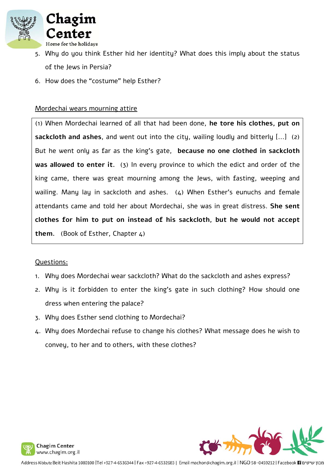

- 5. Why do you think Esther hid her identity? What does this imply about the status of the Jews in Persia?
- 6. How does the "costume" help Esther?

#### Mordechai wears mourning attire

(1) When Mordechai learned of all that had been done, **he tore his clothes, put on sackcloth and ashes**, and went out into the city, wailing loudly and bitterly [...] (2) But he went only as far as the king's gate, **because no one clothed in sackcloth was allowed to enter it.** (3) In every province to which the edict and order of the king came, there was great mourning among the Jews, with fasting, weeping and wailing. Many lay in sackcloth and ashes. (4) When Esther's eunuchs and female attendants came and told her about Mordechai, she was in great distress. **She sent clothes for him to put on instead of his sackcloth, but he would not accept them.** (Book of Esther, Chapter 4)

- 1. Why does Mordechai wear sackcloth? What do the sackcloth and ashes express?
- 2. Why is it forbidden to enter the king's gate in such clothing? How should one dress when entering the palace?
- 3. Why does Esther send clothing to Mordechai?
- 4. Why does Mordechai refuse to change his clothes? What message does he wish to convey, to her and to others, with these clothes?



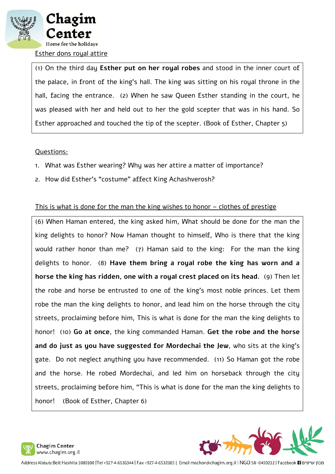

(1) On the third day **Esther put on her royal robes** and stood in the inner court of the palace, in front of the king's hall. The king was sitting on his royal throne in the hall, facing the entrance. (2) When he saw Queen Esther standing in the court, he was pleased with her and held out to her the gold scepter that was in his hand. So Esther approached and touched the tip of the scepter. (Book of Esther, Chapter 5)

#### Questions:

- 1. What was Esther wearing? Why was her attire a matter of importance?
- 2. How did Esther's "costume" affect King Achashverosh?

#### This is what is done for the man the king wishes to honor – clothes of prestige

(6) When Haman entered, the king asked him, What should be done for the man the king delights to honor? Now Haman thought to himself, Who is there that the king would rather honor than me? (7) Haman said to the king: For the man the king delights to honor. (8) **Have them bring a royal robe the king has worn and a horse the king has ridden, one with a royal crest placed on its head.** (9) Then let the robe and horse be entrusted to one of the king's most noble princes. Let them robe the man the king delights to honor, and lead him on the horse through the city streets, proclaiming before him, This is what is done for the man the king delights to honor! (10) **Go at once**, the king commanded Haman. **Get the robe and the horse and do just as you have suggested for Mordechai the Jew**, who sits at the king's gate. Do not neglect anything you have recommended. (11) So Haman got the robe and the horse. He robed Mordechai, and led him on horseback through the city streets, proclaiming before him, "This is what is done for the man the king delights to honor! (Book of Esther, Chapter 6)



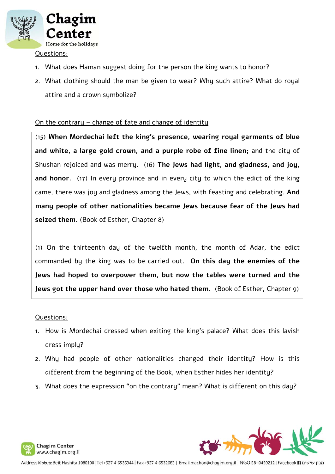

- 1. What does Haman suggest doing for the person the king wants to honor?
- 2. What clothing should the man be given to wear? Why such attire? What do royal attire and a crown symbolize?

#### On the contrary – change of fate and change of identity

(15) **When Mordechai left the king's presence, wearing royal garments of blue and white, a large gold crown, and a purple robe of fine linen;** and the city of Shushan rejoiced and was merry. (16) **The Jews had light, and gladness, and joy, and honor.** (17) In every province and in every city to which the edict of the king came, there was joy and gladness among the Jews, with feasting and celebrating. **And many people of other nationalities became Jews because fear of the Jews had seized them.** (Book of Esther, Chapter 8)

(1) On the thirteenth day of the twelfth month, the month of Adar, the edict commanded by the king was to be carried out. **On this day the enemies of the Jews had hoped to overpower them, but now the tables were turned and the Jews got the upper hand over those who hated them.** (Book of Esther, Chapter 9)

- 1. How is Mordechai dressed when exiting the king's palace? What does this lavish dress imply?
- 2. Why had people of other nationalities changed their identity? How is this different from the beginning of the Book, when Esther hides her identity?
- 3. What does the expression "on the contrary" mean? What is different on this day?



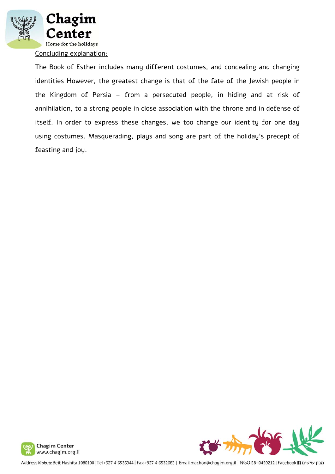

The Book of Esther includes many different costumes, and concealing and changing identities However, the greatest change is that of the fate of the Jewish people in the Kingdom of Persia – from a persecuted people, in hiding and at risk of annihilation, to a strong people in close association with the throne and in defense of itself. In order to express these changes, we too change our identity for one day using costumes. Masquerading, plays and song are part of the holiday's precept of feasting and joy.



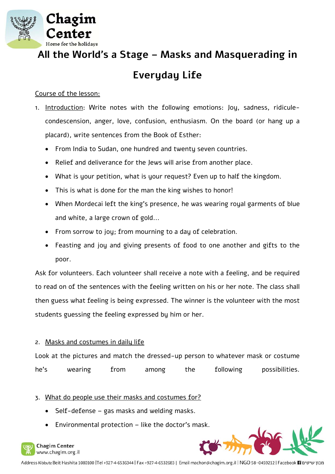

# **All the World's a Stage – Masks and Masquerading in**

## **Everyday Life**

#### Course of the lesson:

- 1. Introduction: Write notes with the following emotions: Joy, sadness, ridiculecondescension, anger, love, confusion, enthusiasm. On the board (or hang up a placard), write sentences from the Book of Esther:
	- From India to Sudan, one hundred and twenty seven countries.
	- Relief and deliverance for the Jews will arise from another place.
	- What is your petition, what is your request? Even up to half the kingdom.
	- This is what is done for the man the king wishes to honor!
	- When Mordecai left the king's presence, he was wearing royal garments of blue and white, a large crown of gold...
	- From sorrow to joy; from mourning to a day of celebration.
	- Feasting and joy and giving presents of food to one another and gifts to the poor.

Ask for volunteers. Each volunteer shall receive a note with a feeling, and be required to read on of the sentences with the feeling written on his or her note. The class shall then guess what feeling is being expressed. The winner is the volunteer with the most students guessing the feeling expressed by him or her.

#### 2. Masks and costumes in daily life

Look at the pictures and match the dressed-up person to whatever mask or costume he's wearing from among the following possibilities.

#### 3. What do people use their masks and costumes for?

- Self-defense gas masks and welding masks.
- Environmental protection like the doctor's mask.



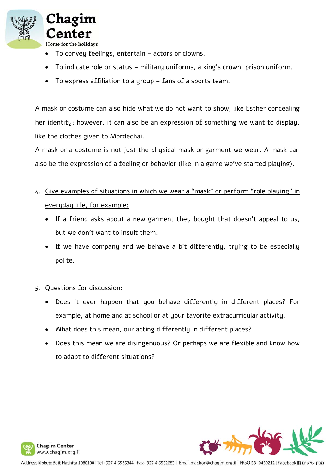

- To convey feelings, entertain actors or clowns.
- To indicate role or status military uniforms, a king's crown, prison uniform.
- To express affiliation to a group fans of a sports team.

A mask or costume can also hide what we do not want to show, like Esther concealing her identity; however, it can also be an expression of something we want to display, like the clothes given to Mordechai.

A mask or a costume is not just the physical mask or garment we wear. A mask can also be the expression of a feeling or behavior (like in a game we've started playing).

- 4. Give examples of situations in which we wear a "mask" or perform "role playing" in everyday life, for example:
	- If a friend asks about a new garment they bought that doesn't appeal to us, but we don't want to insult them.
	- If we have company and we behave a bit differently, trying to be especially polite.

#### 5. Questions for discussion:

- Does it ever happen that you behave differently in different places? For example, at home and at school or at your favorite extracurricular activity.
- What does this mean, our acting differently in different places?
- Does this mean we are disingenuous? Or perhaps we are flexible and know how to adapt to different situations?



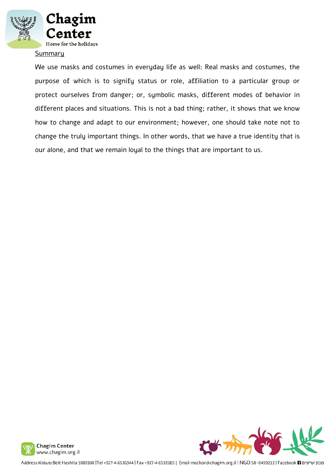

#### **Summary**

We use masks and costumes in everyday life as well: Real masks and costumes, the purpose of which is to signify status or role, affiliation to a particular group or protect ourselves from danger; or, symbolic masks, different modes of behavior in different places and situations. This is not a bad thing; rather, it shows that we know how to change and adapt to our environment; however, one should take note not to change the truly important things. In other words, that we have a true identity that is our alone, and that we remain loyal to the things that are important to us.





מבון שיטים Facebook 11 Bashita 1080100 |Tel +927-4-6536344 | Fax +927-4-6532683 | Email machon@chagim.org.il | NGO 58-0459212 | Facebook 11 מבון שיטים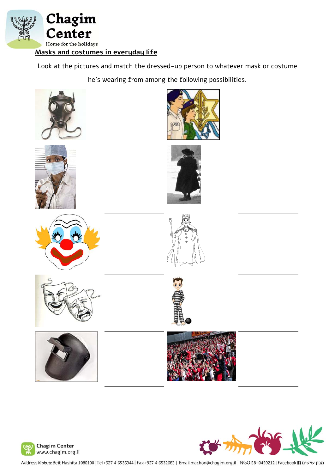

Look at the pictures and match the dressed-up person to whatever mask or costume

he's wearing from among the following possibilities.























Address Kibbutz Beit Hashita 1080100 |Tel +927-4-6536344 | Fax +927-4-6532683 | Email machon@chagim.org.il | NGO 58-0459212 | Facebook 1 מכון שיטים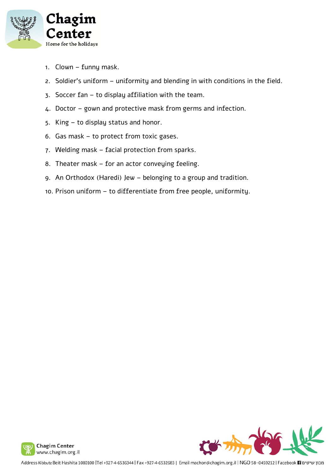

- 1. Clown funny mask.
- 2. Soldier's uniform uniformity and blending in with conditions in the field.
- 3. Soccer fan to display affiliation with the team.
- 4. Doctor gown and protective mask from germs and infection.
- 5. King to display status and honor.
- 6. Gas mask to protect from toxic gases.
- 7. Welding mask facial protection from sparks.
- 8. Theater mask for an actor conveying feeling.
- 9. An Orthodox (Haredi) Jew belonging to a group and tradition.
- 10. Prison uniform to differentiate from free people, uniformity.



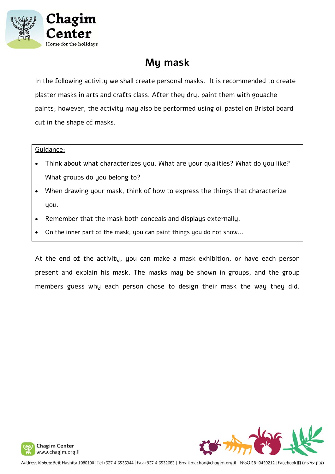

## **My mask**

In the following activity we shall create personal masks. It is recommended to create plaster masks in arts and crafts class. After they dry, paint them with gouache paints; however, the activity may also be performed using oil pastel on Bristol board cut in the shape of masks.

#### Guidance:

- Think about what characterizes you. What are your qualities? What do you like? What groups do you belong to?
- When drawing your mask, think of how to express the things that characterize you.
- Remember that the mask both conceals and displays externally.
- On the inner part of the mask, you can paint things you do not show...

At the end of the activity, you can make a mask exhibition, or have each person present and explain his mask. The masks may be shown in groups, and the group members guess why each person chose to design their mask the way they did.



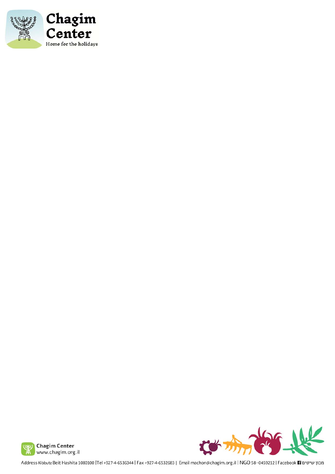





Address Kibbutz Beit Hashita 1080100 |Tel +927-4-6536344 | Fax +927-4-6532683 | Email machon@chagim.org.il | NGO 58-0459212 | Facebook 1 מכון שיטים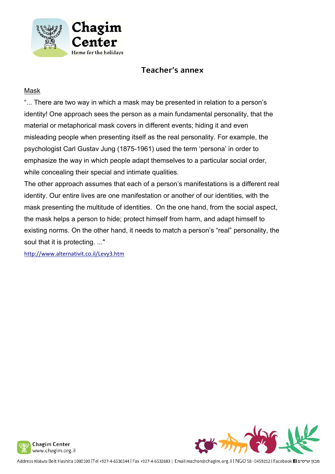

### **Teacher's annex**

### Mask

"... There are two way in which a mask may be presented in relation to a person's identity! One approach sees the person as a main fundamental personality, that the material or metaphorical mask covers in different events; hiding it and even misleading people when presenting itself as the real personality. For example, the psychologist Carl Gustav Jung (1875-1961) used the term 'persona' in order to emphasize the way in which people adapt themselves to a particular social order, while concealing their special and intimate qualities.

The other approach assumes that each of a person's manifestations is a different real identity. Our entire lives are one manifestation or another of our identities, with the mask presenting the multitude of identities. On the one hand, from the social aspect, the mask helps a person to hide; protect himself from harm, and adapt himself to existing norms. On the other hand, it needs to match a person's "real" personality, the soul that it is protecting. ..."

http://www.alternativit.co.il/Levy3.htm



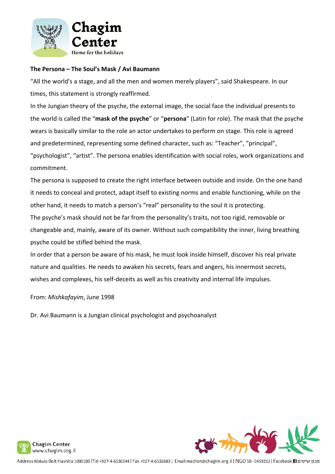

#### **The Persona – The Soul's Mask / Avi Baumann**

"All the world's a stage, and all the men and women merely players", said Shakespeare. In our times, this statement is strongly reaffirmed.

In the Jungian theory of the psyche, the external image, the social face the individual presents to the world is called the "**mask of the psyche**" or "**persona**" (Latin for role). The mask that the psyche wears is basically similar to the role an actor undertakes to perform on stage. This role is agreed and predetermined, representing some defined character, such as: "Teacher", "principal", "psychologist", "artist". The persona enables identification with social roles, work organizations and commitment.

The persona is supposed to create the right interface between outside and inside. On the one hand it needs to conceal and protect, adapt itself to existing norms and enable functioning, while on the other hand, it needs to match a person's "real" personality to the soul it is protecting. The psyche's mask should not be far from the personality's traits, not too rigid, removable or changeable and, mainly, aware of its owner. Without such compatibility the inner, living breathing psyche could be stifled behind the mask.

In order that a person be aware of his mask, he must look inside himself, discover his real private nature and qualities. He needs to awaken his secrets, fears and angers, his innermost secrets, wishes and complexes, his self-deceits as well as his creativity and internal life impulses.

From: *Mishkafayim*, June 1998

Dr. Avi Baumann is a Jungian clinical psychologist and psychoanalyst



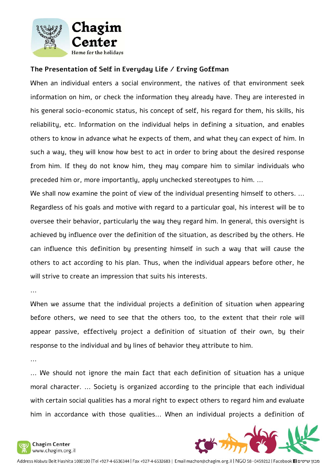

#### **The Presentation of Self in Everyday Life / Erving Goffman**

When an individual enters a social environment, the natives of that environment seek information on him, or check the information they already have. They are interested in his general socio-economic status, his concept of self, his regard for them, his skills, his reliability, etc. Information on the individual helps in defining a situation, and enables others to know in advance what he expects of them, and what they can expect of him. In such a way, they will know how best to act in order to bring about the desired response from him. If they do not know him, they may compare him to similar individuals who preceded him or, more importantly, apply unchecked stereotypes to him. ...

We shall now examine the point of view of the individual presenting himself to others. ... Regardless of his goals and motive with regard to a particular goal, his interest will be to oversee their behavior, particularly the way they regard him. In general, this oversight is achieved by influence over the definition of the situation, as described by the others. He can influence this definition by presenting himself in such a way that will cause the others to act according to his plan. Thus, when the individual appears before other, he will strive to create an impression that suits his interests.

...

When we assume that the individual projects a definition of situation when appearing before others, we need to see that the others too, to the extent that their role will appear passive, effectively project a definition of situation of their own, by their response to the individual and by lines of behavior they attribute to him.

...

... We should not ignore the main fact that each definition of situation has a unique moral character. ... Society is organized according to the principle that each individual with certain social qualities has a moral right to expect others to regard him and evaluate him in accordance with those qualities... When an individual projects a definition of